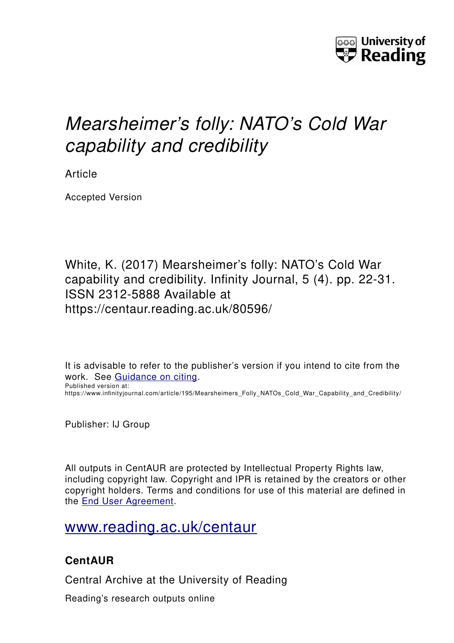

# *Mearsheimer's folly: NATO's Cold War capability and credibility*

Article

Accepted Version

White, K. (2017) Mearsheimer's folly: NATO's Cold War capability and credibility. Infinity Journal, 5 (4). pp. 22-31. ISSN 2312-5888 Available at https://centaur.reading.ac.uk/80596/

It is advisable to refer to the publisher's version if you intend to cite from the work. See [Guidance on citing.](http://centaur.reading.ac.uk/71187/10/CentAUR%20citing%20guide.pdf) Published version at:

https://www.infinityjournal.com/article/195/Mearsheimers\_Folly\_NATOs\_Cold\_War\_Capability\_and\_Credibility/

Publisher: IJ Group

All outputs in CentAUR are protected by Intellectual Property Rights law, including copyright law. Copyright and IPR is retained by the creators or other copyright holders. Terms and conditions for use of this material are defined in the [End User Agreement.](http://centaur.reading.ac.uk/licence)

# [www.reading.ac.uk/centaur](http://www.reading.ac.uk/centaur)

# **CentAUR**

Central Archive at the University of Reading

Reading's research outputs online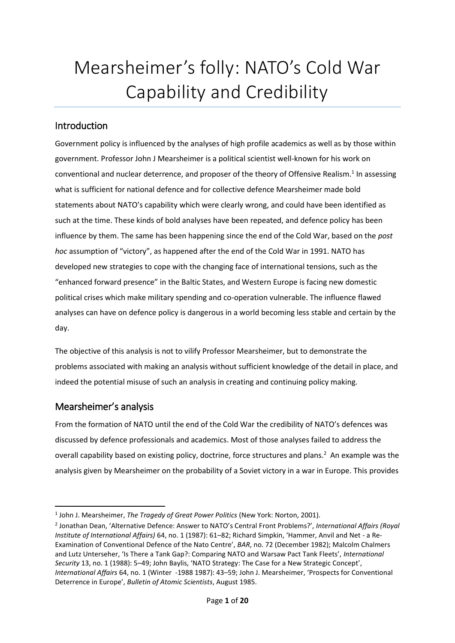# Mearsheimer's folly: NATO's Cold War Capability and Credibility

# Introduction

Government policy is influenced by the analyses of high profile academics as well as by those within government. Professor John J Mearsheimer is a political scientist well-known for his work on conventional and nuclear deterrence, and proposer of the theory of Offensive Realism.<sup>1</sup> In assessing what is sufficient for national defence and for collective defence Mearsheimer made bold statements about NATO's capability which were clearly wrong, and could have been identified as such at the time. These kinds of bold analyses have been repeated, and defence policy has been influence by them. The same has been happening since the end of the Cold War, based on the *post hoc* assumption of "victory", as happened after the end of the Cold War in 1991. NATO has developed new strategies to cope with the changing face of international tensions, such as the "enhanced forward presence" in the Baltic States, and Western Europe is facing new domestic political crises which make military spending and co-operation vulnerable. The influence flawed analyses can have on defence policy is dangerous in a world becoming less stable and certain by the day.

The objective of this analysis is not to vilify Professor Mearsheimer, but to demonstrate the problems associated with making an analysis without sufficient knowledge of the detail in place, and indeed the potential misuse of such an analysis in creating and continuing policy making.

# Mearsheimer's analysis

1

From the formation of NATO until the end of the Cold War the credibility of NATO's defences was discussed by defence professionals and academics. Most of those analyses failed to address the overall capability based on existing policy, doctrine, force structures and plans. 2 An example was the analysis given by Mearsheimer on the probability of a Soviet victory in a war in Europe. This provides

<sup>1</sup> John J. Mearsheimer, *The Tragedy of Great Power Politics* (New York: Norton, 2001).

<sup>2</sup> Jonathan Dean, 'Alternative Defence: Answer to NATO's Central Front Problems?', *International Affairs (Royal Institute of International Affairs)* 64, no. 1 (1987): 61–82; Richard Simpkin, 'Hammer, Anvil and Net - a Re-Examination of Conventional Defence of the Nato Centre', *BAR*, no. 72 (December 1982); Malcolm Chalmers and Lutz Unterseher, 'Is There a Tank Gap?: Comparing NATO and Warsaw Pact Tank Fleets', *International Security* 13, no. 1 (1988): 5–49; John Baylis, 'NATO Strategy: The Case for a New Strategic Concept', *International Affairs* 64, no. 1 (Winter -1988 1987): 43–59; John J. Mearsheimer, 'Prospects for Conventional Deterrence in Europe', *Bulletin of Atomic Scientists*, August 1985.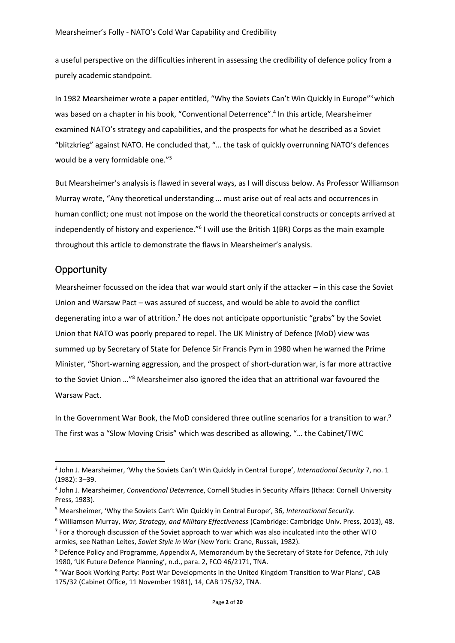a useful perspective on the difficulties inherent in assessing the credibility of defence policy from a purely academic standpoint.

In 1982 Mearsheimer wrote a paper entitled, "Why the Soviets Can't Win Quickly in Europe"<sup>3</sup> which was based on a chapter in his book, "Conventional Deterrence". 4 In this article, Mearsheimer examined NATO's strategy and capabilities, and the prospects for what he described as a Soviet "blitzkrieg" against NATO. He concluded that, "… the task of quickly overrunning NATO's defences would be a very formidable one."<sup>5</sup>

But Mearsheimer's analysis is flawed in several ways, as I will discuss below. As Professor Williamson Murray wrote, "Any theoretical understanding … must arise out of real acts and occurrences in human conflict; one must not impose on the world the theoretical constructs or concepts arrived at independently of history and experience."<sup>6</sup> I will use the British 1(BR) Corps as the main example throughout this article to demonstrate the flaws in Mearsheimer's analysis.

### **Opportunity**

1

Mearsheimer focussed on the idea that war would start only if the attacker – in this case the Soviet Union and Warsaw Pact – was assured of success, and would be able to avoid the conflict degenerating into a war of attrition.<sup>7</sup> He does not anticipate opportunistic "grabs" by the Soviet Union that NATO was poorly prepared to repel. The UK Ministry of Defence (MoD) view was summed up by Secretary of State for Defence Sir Francis Pym in 1980 when he warned the Prime Minister, "Short-warning aggression, and the prospect of short-duration war, is far more attractive to the Soviet Union …"<sup>8</sup> Mearsheimer also ignored the idea that an attritional war favoured the Warsaw Pact.

In the Government War Book, the MoD considered three outline scenarios for a transition to war.<sup>9</sup> The first was a "Slow Moving Crisis" which was described as allowing, "… the Cabinet/TWC

<sup>3</sup> John J. Mearsheimer, 'Why the Soviets Can't Win Quickly in Central Europe', *International Security* 7, no. 1 (1982): 3–39.

<sup>4</sup> John J. Mearsheimer, *Conventional Deterrence*, Cornell Studies in Security Affairs (Ithaca: Cornell University Press, 1983).

<sup>5</sup> Mearsheimer, 'Why the Soviets Can't Win Quickly in Central Europe', 36, *International Security*.

<sup>6</sup> Williamson Murray, *War, Strategy, and Military Effectiveness* (Cambridge: Cambridge Univ. Press, 2013), 48.

<sup>&</sup>lt;sup>7</sup> For a thorough discussion of the Soviet approach to war which was also inculcated into the other WTO armies, see Nathan Leites, *Soviet Style in War* (New York: Crane, Russak, 1982).

<sup>8</sup> Defence Policy and Programme, Appendix A, Memorandum by the Secretary of State for Defence, 7th July 1980, 'UK Future Defence Planning', n.d., para. 2, FCO 46/2171, TNA.

<sup>&</sup>lt;sup>9</sup> 'War Book Working Party: Post War Developments in the United Kingdom Transition to War Plans', CAB 175/32 (Cabinet Office, 11 November 1981), 14, CAB 175/32, TNA.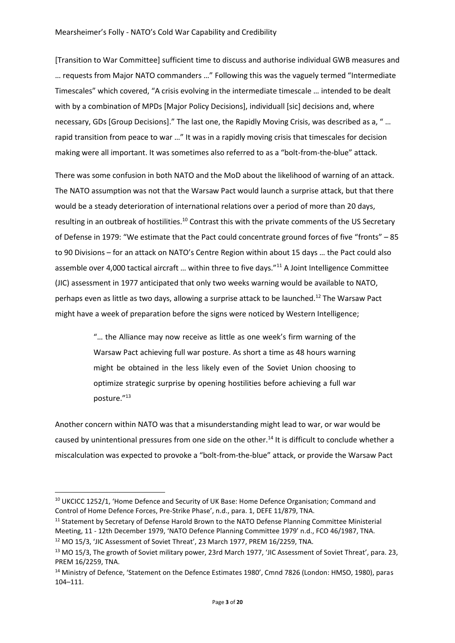[Transition to War Committee] sufficient time to discuss and authorise individual GWB measures and … requests from Major NATO commanders …" Following this was the vaguely termed "Intermediate Timescales" which covered, "A crisis evolving in the intermediate timescale … intended to be dealt with by a combination of MPDs [Major Policy Decisions], individuall [sic] decisions and, where necessary, GDs [Group Decisions]." The last one, the Rapidly Moving Crisis, was described as a, " … rapid transition from peace to war …" It was in a rapidly moving crisis that timescales for decision making were all important. It was sometimes also referred to as a "bolt-from-the-blue" attack.

There was some confusion in both NATO and the MoD about the likelihood of warning of an attack. The NATO assumption was not that the Warsaw Pact would launch a surprise attack, but that there would be a steady deterioration of international relations over a period of more than 20 days, resulting in an outbreak of hostilities.<sup>10</sup> Contrast this with the private comments of the US Secretary of Defense in 1979: "We estimate that the Pact could concentrate ground forces of five "fronts" – 85 to 90 Divisions – for an attack on NATO's Centre Region within about 15 days … the Pact could also assemble over 4,000 tactical aircraft ... within three to five days."<sup>11</sup> A Joint Intelligence Committee (JIC) assessment in 1977 anticipated that only two weeks warning would be available to NATO, perhaps even as little as two days, allowing a surprise attack to be launched.<sup>12</sup> The Warsaw Pact might have a week of preparation before the signs were noticed by Western Intelligence;

> "… the Alliance may now receive as little as one week's firm warning of the Warsaw Pact achieving full war posture. As short a time as 48 hours warning might be obtained in the less likely even of the Soviet Union choosing to optimize strategic surprise by opening hostilities before achieving a full war posture."<sup>13</sup>

Another concern within NATO was that a misunderstanding might lead to war, or war would be caused by unintentional pressures from one side on the other.<sup>14</sup> It is difficult to conclude whether a miscalculation was expected to provoke a "bolt-from-the-blue" attack, or provide the Warsaw Pact

<sup>&</sup>lt;sup>10</sup> UKCICC 1252/1, 'Home Defence and Security of UK Base: Home Defence Organisation; Command and Control of Home Defence Forces, Pre-Strike Phase', n.d., para. 1, DEFE 11/879, TNA.

<sup>&</sup>lt;sup>11</sup> Statement by Secretary of Defense Harold Brown to the NATO Defense Planning Committee Ministerial Meeting, 11 - 12th December 1979, 'NATO Defence Planning Committee 1979' n.d., FCO 46/1987, TNA.

<sup>&</sup>lt;sup>12</sup> MO 15/3, 'JIC Assessment of Soviet Threat', 23 March 1977, PREM 16/2259, TNA.

<sup>&</sup>lt;sup>13</sup> MO 15/3, The growth of Soviet military power, 23rd March 1977, 'JIC Assessment of Soviet Threat', para. 23, PREM 16/2259, TNA.

<sup>&</sup>lt;sup>14</sup> Ministry of Defence, 'Statement on the Defence Estimates 1980', Cmnd 7826 (London: HMSO, 1980), paras 104–111.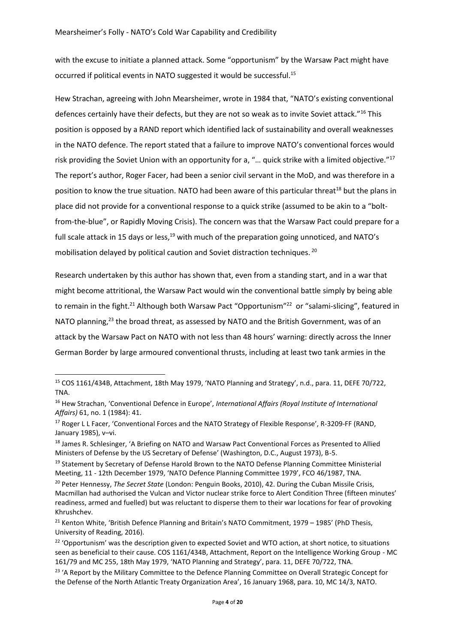with the excuse to initiate a planned attack. Some "opportunism" by the Warsaw Pact might have occurred if political events in NATO suggested it would be successful.<sup>15</sup>

Hew Strachan, agreeing with John Mearsheimer, wrote in 1984 that, "NATO's existing conventional defences certainly have their defects, but they are not so weak as to invite Soviet attack."<sup>16</sup> This position is opposed by a RAND report which identified lack of sustainability and overall weaknesses in the NATO defence. The report stated that a failure to improve NATO's conventional forces would risk providing the Soviet Union with an opportunity for a, "... quick strike with a limited objective."<sup>17</sup> The report's author, Roger Facer, had been a senior civil servant in the MoD, and was therefore in a position to know the true situation. NATO had been aware of this particular threat<sup>18</sup> but the plans in place did not provide for a conventional response to a quick strike (assumed to be akin to a "boltfrom-the-blue", or Rapidly Moving Crisis). The concern was that the Warsaw Pact could prepare for a full scale attack in 15 days or less, $19$  with much of the preparation going unnoticed, and NATO's mobilisation delayed by political caution and Soviet distraction techniques. <sup>20</sup>

Research undertaken by this author has shown that, even from a standing start, and in a war that might become attritional, the Warsaw Pact would win the conventional battle simply by being able to remain in the fight.<sup>21</sup> Although both Warsaw Pact "Opportunism"<sup>22</sup> or "salami-slicing", featured in NATO planning,<sup>23</sup> the broad threat, as assessed by NATO and the British Government, was of an attack by the Warsaw Pact on NATO with not less than 48 hours' warning: directly across the Inner German Border by large armoured conventional thrusts, including at least two tank armies in the

<sup>15</sup> COS 1161/434B, Attachment, 18th May 1979, 'NATO Planning and Strategy', n.d., para. 11, DEFE 70/722, TNA.

<sup>16</sup> Hew Strachan, 'Conventional Defence in Europe', *International Affairs (Royal Institute of International Affairs)* 61, no. 1 (1984): 41.

<sup>&</sup>lt;sup>17</sup> Roger L L Facer, 'Conventional Forces and the NATO Strategy of Flexible Response', R-3209-FF (RAND, January 1985), v–vi.

<sup>&</sup>lt;sup>18</sup> James R. Schlesinger, 'A Briefing on NATO and Warsaw Pact Conventional Forces as Presented to Allied Ministers of Defense by the US Secretary of Defense' (Washington, D.C., August 1973), B-5.

<sup>&</sup>lt;sup>19</sup> Statement by Secretary of Defense Harold Brown to the NATO Defense Planning Committee Ministerial Meeting, 11 - 12th December 1979, 'NATO Defence Planning Committee 1979', FCO 46/1987, TNA.

<sup>20</sup> Peter Hennessy, *The Secret State* (London: Penguin Books, 2010), 42. During the Cuban Missile Crisis, Macmillan had authorised the Vulcan and Victor nuclear strike force to Alert Condition Three (fifteen minutes' readiness, armed and fuelled) but was reluctant to disperse them to their war locations for fear of provoking Khrushchev.

<sup>&</sup>lt;sup>21</sup> Kenton White, 'British Defence Planning and Britain's NATO Commitment, 1979 – 1985' (PhD Thesis, University of Reading, 2016).

<sup>&</sup>lt;sup>22</sup> 'Opportunism' was the description given to expected Soviet and WTO action, at short notice, to situations seen as beneficial to their cause. COS 1161/434B, Attachment, Report on the Intelligence Working Group - MC 161/79 and MC 255, 18th May 1979, 'NATO Planning and Strategy', para. 11, DEFE 70/722, TNA.

<sup>&</sup>lt;sup>23</sup> 'A Report by the Military Committee to the Defence Planning Committee on Overall Strategic Concept for the Defense of the North Atlantic Treaty Organization Area', 16 January 1968, para. 10, MC 14/3, NATO.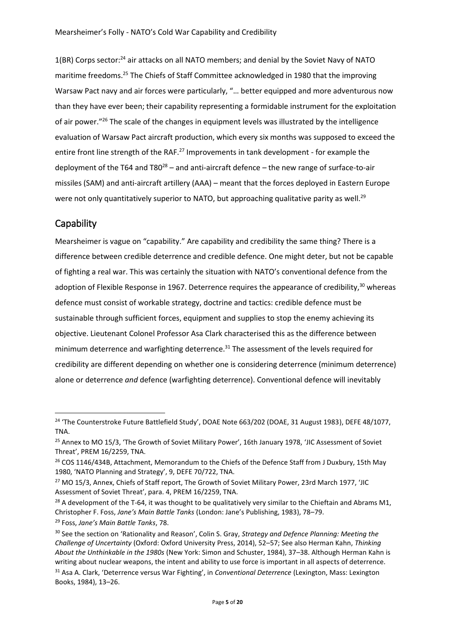$1(BR)$  Corps sector:<sup>24</sup> air attacks on all NATO members; and denial by the Soviet Navy of NATO maritime freedoms.<sup>25</sup> The Chiefs of Staff Committee acknowledged in 1980 that the improving Warsaw Pact navy and air forces were particularly, "… better equipped and more adventurous now than they have ever been; their capability representing a formidable instrument for the exploitation of air power."<sup>26</sup> The scale of the changes in equipment levels was illustrated by the intelligence evaluation of Warsaw Pact aircraft production, which every six months was supposed to exceed the entire front line strength of the RAF.<sup>27</sup> Improvements in tank development - for example the deployment of the T64 and T80 $^{28}$  – and anti-aircraft defence – the new range of surface-to-air missiles (SAM) and anti-aircraft artillery (AAA) – meant that the forces deployed in Eastern Europe were not only quantitatively superior to NATO, but approaching qualitative parity as well.<sup>29</sup>

#### **Capability**

**.** 

Mearsheimer is vague on "capability." Are capability and credibility the same thing? There is a difference between credible deterrence and credible defence. One might deter, but not be capable of fighting a real war. This was certainly the situation with NATO's conventional defence from the adoption of Flexible Response in 1967. Deterrence requires the appearance of credibility,<sup>30</sup> whereas defence must consist of workable strategy, doctrine and tactics: credible defence must be sustainable through sufficient forces, equipment and supplies to stop the enemy achieving its objective. Lieutenant Colonel Professor Asa Clark characterised this as the difference between minimum deterrence and warfighting deterrence.<sup>31</sup> The assessment of the levels required for credibility are different depending on whether one is considering deterrence (minimum deterrence) alone or deterrence *and* defence (warfighting deterrence). Conventional defence will inevitably

<sup>&</sup>lt;sup>24</sup> 'The Counterstroke Future Battlefield Study', DOAE Note 663/202 (DOAE, 31 August 1983), DEFE 48/1077, TNA.

<sup>&</sup>lt;sup>25</sup> Annex to MO 15/3, 'The Growth of Soviet Military Power', 16th January 1978, 'JIC Assessment of Soviet Threat', PREM 16/2259, TNA.

<sup>&</sup>lt;sup>26</sup> COS 1146/434B, Attachment, Memorandum to the Chiefs of the Defence Staff from J Duxbury, 15th May 1980, 'NATO Planning and Strategy', 9, DEFE 70/722, TNA.

<sup>&</sup>lt;sup>27</sup> MO 15/3, Annex, Chiefs of Staff report, The Growth of Soviet Military Power, 23rd March 1977, 'JIC Assessment of Soviet Threat', para. 4, PREM 16/2259, TNA.

<sup>&</sup>lt;sup>28</sup> A development of the T-64, it was thought to be qualitatively very similar to the Chieftain and Abrams M1, Christopher F. Foss, *Jane's Main Battle Tanks* (London: Jane's Publishing, 1983), 78–79.

<sup>29</sup> Foss, *Jane's Main Battle Tanks*, 78.

<sup>30</sup> See the section on 'Rationality and Reason', Colin S. Gray, *Strategy and Defence Planning: Meeting the Challenge of Uncertainty* (Oxford: Oxford University Press, 2014), 52–57; See also Herman Kahn, *Thinking About the Unthinkable in the 1980s* (New York: Simon and Schuster, 1984), 37–38. Although Herman Kahn is writing about nuclear weapons, the intent and ability to use force is important in all aspects of deterrence.

<sup>31</sup> Asa A. Clark, 'Deterrence versus War Fighting', in *Conventional Deterrence* (Lexington, Mass: Lexington Books, 1984), 13–26.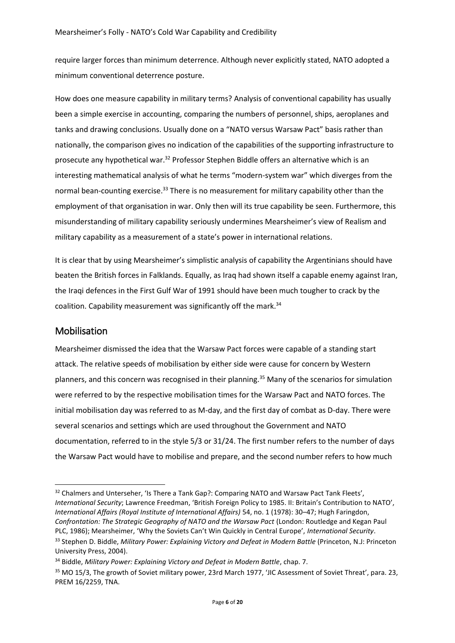require larger forces than minimum deterrence. Although never explicitly stated, NATO adopted a minimum conventional deterrence posture.

How does one measure capability in military terms? Analysis of conventional capability has usually been a simple exercise in accounting, comparing the numbers of personnel, ships, aeroplanes and tanks and drawing conclusions. Usually done on a "NATO versus Warsaw Pact" basis rather than nationally, the comparison gives no indication of the capabilities of the supporting infrastructure to prosecute any hypothetical war.<sup>32</sup> Professor Stephen Biddle offers an alternative which is an interesting mathematical analysis of what he terms "modern-system war" which diverges from the normal bean-counting exercise.<sup>33</sup> There is no measurement for military capability other than the employment of that organisation in war. Only then will its true capability be seen. Furthermore, this misunderstanding of military capability seriously undermines Mearsheimer's view of Realism and military capability as a measurement of a state's power in international relations.

It is clear that by using Mearsheimer's simplistic analysis of capability the Argentinians should have beaten the British forces in Falklands. Equally, as Iraq had shown itself a capable enemy against Iran, the Iraqi defences in the First Gulf War of 1991 should have been much tougher to crack by the coalition. Capability measurement was significantly off the mark.<sup>34</sup>

#### Mobilisation

1

Mearsheimer dismissed the idea that the Warsaw Pact forces were capable of a standing start attack. The relative speeds of mobilisation by either side were cause for concern by Western planners, and this concern was recognised in their planning.<sup>35</sup> Many of the scenarios for simulation were referred to by the respective mobilisation times for the Warsaw Pact and NATO forces. The initial mobilisation day was referred to as M-day, and the first day of combat as D-day. There were several scenarios and settings which are used throughout the Government and NATO documentation, referred to in the style 5/3 or 31/24. The first number refers to the number of days the Warsaw Pact would have to mobilise and prepare, and the second number refers to how much

<sup>&</sup>lt;sup>32</sup> Chalmers and Unterseher, 'Is There a Tank Gap?: Comparing NATO and Warsaw Pact Tank Fleets', *International Security*; Lawrence Freedman, 'British Foreign Policy to 1985. II: Britain's Contribution to NATO', *International Affairs (Royal Institute of International Affairs)* 54, no. 1 (1978): 30–47; Hugh Faringdon, *Confrontation: The Strategic Geography of NATO and the Warsaw Pact* (London: Routledge and Kegan Paul PLC, 1986); Mearsheimer, 'Why the Soviets Can't Win Quickly in Central Europe', *International Security*.

<sup>33</sup> Stephen D. Biddle, *Military Power: Explaining Victory and Defeat in Modern Battle* (Princeton, N.J: Princeton University Press, 2004).

<sup>34</sup> Biddle, *Military Power: Explaining Victory and Defeat in Modern Battle*, chap. 7.

<sup>&</sup>lt;sup>35</sup> MO 15/3, The growth of Soviet military power, 23rd March 1977, 'JIC Assessment of Soviet Threat', para. 23, PREM 16/2259, TNA.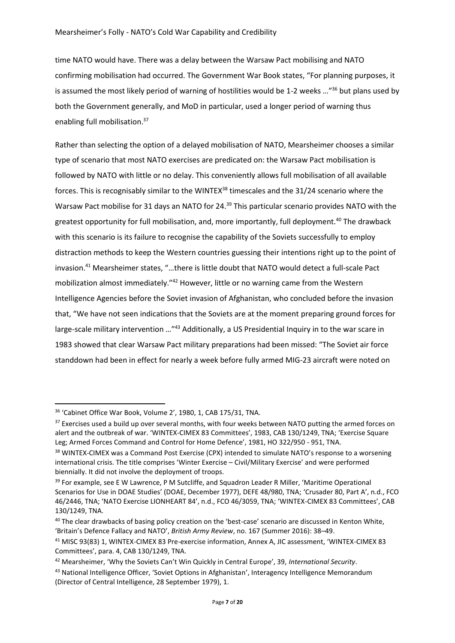time NATO would have. There was a delay between the Warsaw Pact mobilising and NATO confirming mobilisation had occurred. The Government War Book states, "For planning purposes, it is assumed the most likely period of warning of hostilities would be 1-2 weeks  $\ldots$ <sup>36</sup> but plans used by both the Government generally, and MoD in particular, used a longer period of warning thus enabling full mobilisation.<sup>37</sup>

Rather than selecting the option of a delayed mobilisation of NATO, Mearsheimer chooses a similar type of scenario that most NATO exercises are predicated on: the Warsaw Pact mobilisation is followed by NATO with little or no delay. This conveniently allows full mobilisation of all available forces. This is recognisably similar to the WINTEX<sup>38</sup> timescales and the 31/24 scenario where the Warsaw Pact mobilise for 31 days an NATO for 24.<sup>39</sup> This particular scenario provides NATO with the greatest opportunity for full mobilisation, and, more importantly, full deployment.<sup>40</sup> The drawback with this scenario is its failure to recognise the capability of the Soviets successfully to employ distraction methods to keep the Western countries guessing their intentions right up to the point of invasion.<sup>41</sup> Mearsheimer states, "…there is little doubt that NATO would detect a full-scale Pact mobilization almost immediately."<sup>42</sup> However, little or no warning came from the Western Intelligence Agencies before the Soviet invasion of Afghanistan, who concluded before the invasion that, "We have not seen indications that the Soviets are at the moment preparing ground forces for large-scale military intervention …"<sup>43</sup> Additionally, a US Presidential Inquiry in to the war scare in 1983 showed that clear Warsaw Pact military preparations had been missed: "The Soviet air force standdown had been in effect for nearly a week before fully armed MIG-23 aircraft were noted on

<sup>36</sup> 'Cabinet Office War Book, Volume 2', 1980, 1, CAB 175/31, TNA.

<sup>&</sup>lt;sup>37</sup> Exercises used a build up over several months, with four weeks between NATO putting the armed forces on alert and the outbreak of war. 'WINTEX-CIMEX 83 Committees', 1983, CAB 130/1249, TNA; 'Exercise Square Leg; Armed Forces Command and Control for Home Defence', 1981, HO 322/950 - 951, TNA.

<sup>&</sup>lt;sup>38</sup> WINTEX-CIMEX was a Command Post Exercise (CPX) intended to simulate NATO's response to a worsening international crisis. The title comprises 'Winter Exercise – Civil/Military Exercise' and were performed biennially. It did not involve the deployment of troops.

<sup>&</sup>lt;sup>39</sup> For example, see E W Lawrence, P M Sutcliffe, and Squadron Leader R Miller, 'Maritime Operational Scenarios for Use in DOAE Studies' (DOAE, December 1977), DEFE 48/980, TNA; 'Crusader 80, Part A', n.d., FCO 46/2446, TNA; 'NATO Exercise LIONHEART 84', n.d., FCO 46/3059, TNA; 'WINTEX-CIMEX 83 Committees', CAB 130/1249, TNA.

<sup>&</sup>lt;sup>40</sup> The clear drawbacks of basing policy creation on the 'best-case' scenario are discussed in Kenton White, 'Britain's Defence Fallacy and NATO', *British Army Review*, no. 167 (Summer 2016): 38–49.

<sup>41</sup> MISC 93(83) 1, WINTEX-CIMEX 83 Pre-exercise information, Annex A, JIC assessment, 'WINTEX-CIMEX 83 Committees', para. 4, CAB 130/1249, TNA.

<sup>42</sup> Mearsheimer, 'Why the Soviets Can't Win Quickly in Central Europe', 39, *International Security*.

<sup>43</sup> National Intelligence Officer, 'Soviet Options in Afghanistan', Interagency Intelligence Memorandum (Director of Central Intelligence, 28 September 1979), 1.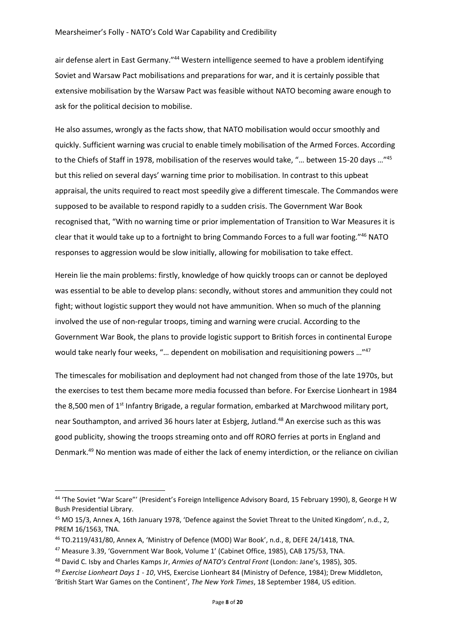air defense alert in East Germany."<sup>44</sup> Western intelligence seemed to have a problem identifying Soviet and Warsaw Pact mobilisations and preparations for war, and it is certainly possible that extensive mobilisation by the Warsaw Pact was feasible without NATO becoming aware enough to ask for the political decision to mobilise.

He also assumes, wrongly as the facts show, that NATO mobilisation would occur smoothly and quickly. Sufficient warning was crucial to enable timely mobilisation of the Armed Forces. According to the Chiefs of Staff in 1978, mobilisation of the reserves would take, "… between 15-20 days …"<sup>45</sup> but this relied on several days' warning time prior to mobilisation. In contrast to this upbeat appraisal, the units required to react most speedily give a different timescale. The Commandos were supposed to be available to respond rapidly to a sudden crisis. The Government War Book recognised that, "With no warning time or prior implementation of Transition to War Measures it is clear that it would take up to a fortnight to bring Commando Forces to a full war footing."<sup>46</sup> NATO responses to aggression would be slow initially, allowing for mobilisation to take effect.

Herein lie the main problems: firstly, knowledge of how quickly troops can or cannot be deployed was essential to be able to develop plans: secondly, without stores and ammunition they could not fight; without logistic support they would not have ammunition. When so much of the planning involved the use of non-regular troops, timing and warning were crucial. According to the Government War Book, the plans to provide logistic support to British forces in continental Europe would take nearly four weeks, "… dependent on mobilisation and requisitioning powers …"<sup>47</sup>

The timescales for mobilisation and deployment had not changed from those of the late 1970s, but the exercises to test them became more media focussed than before. For Exercise Lionheart in 1984 the 8,500 men of 1<sup>st</sup> Infantry Brigade, a regular formation, embarked at Marchwood military port, near Southampton, and arrived 36 hours later at Esbjerg, Jutland.<sup>48</sup> An exercise such as this was good publicity, showing the troops streaming onto and off RORO ferries at ports in England and Denmark.<sup>49</sup> No mention was made of either the lack of enemy interdiction, or the reliance on civilian

<sup>44</sup> 'The Soviet "War Scare"' (President's Foreign Intelligence Advisory Board, 15 February 1990), 8, George H W Bush Presidential Library.

<sup>45</sup> MO 15/3, Annex A, 16th January 1978, 'Defence against the Soviet Threat to the United Kingdom', n.d., 2, PREM 16/1563, TNA.

<sup>46</sup> TO.2119/431/80, Annex A, 'Ministry of Defence (MOD) War Book', n.d., 8, DEFE 24/1418, TNA.

<sup>47</sup> Measure 3.39, 'Government War Book, Volume 1' (Cabinet Office, 1985), CAB 175/53, TNA.

<sup>48</sup> David C. Isby and Charles Kamps Jr, *Armies of NATO's Central Front* (London: Jane's, 1985), 305.

<sup>49</sup> *Exercise Lionheart Days 1 - 10*, VHS, Exercise Lionheart 84 (Ministry of Defence, 1984); Drew Middleton, 'British Start War Games on the Continent', *The New York Times*, 18 September 1984, US edition.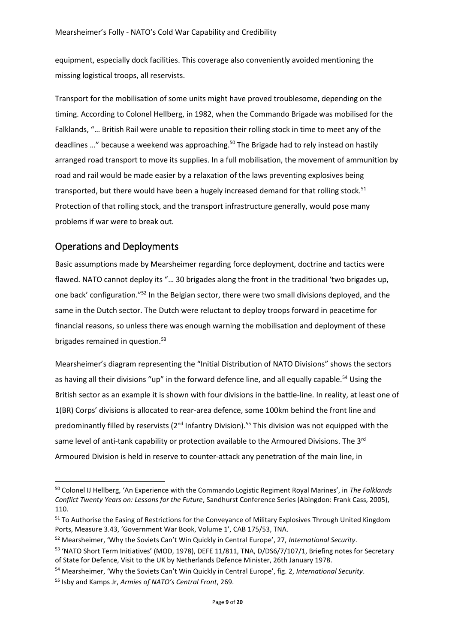equipment, especially dock facilities. This coverage also conveniently avoided mentioning the missing logistical troops, all reservists.

Transport for the mobilisation of some units might have proved troublesome, depending on the timing. According to Colonel Hellberg, in 1982, when the Commando Brigade was mobilised for the Falklands, "… British Rail were unable to reposition their rolling stock in time to meet any of the deadlines ..." because a weekend was approaching.<sup>50</sup> The Brigade had to rely instead on hastily arranged road transport to move its supplies. In a full mobilisation, the movement of ammunition by road and rail would be made easier by a relaxation of the laws preventing explosives being transported, but there would have been a hugely increased demand for that rolling stock.<sup>51</sup> Protection of that rolling stock, and the transport infrastructure generally, would pose many problems if war were to break out.

# Operations and Deployments

**.** 

Basic assumptions made by Mearsheimer regarding force deployment, doctrine and tactics were flawed. NATO cannot deploy its "… 30 brigades along the front in the traditional 'two brigades up, one back' configuration."<sup>52</sup> In the Belgian sector, there were two small divisions deployed, and the same in the Dutch sector. The Dutch were reluctant to deploy troops forward in peacetime for financial reasons, so unless there was enough warning the mobilisation and deployment of these brigades remained in question.<sup>53</sup>

Mearsheimer's diagram representing the "Initial Distribution of NATO Divisions" shows the sectors as having all their divisions "up" in the forward defence line, and all equally capable.<sup>54</sup> Using the British sector as an example it is shown with four divisions in the battle-line. In reality, at least one of 1(BR) Corps' divisions is allocated to rear-area defence, some 100km behind the front line and predominantly filled by reservists  $(2^{nd}$  Infantry Division).<sup>55</sup> This division was not equipped with the same level of anti-tank capability or protection available to the Armoured Divisions. The 3<sup>rd</sup> Armoured Division is held in reserve to counter-attack any penetration of the main line, in

<sup>50</sup> Colonel IJ Hellberg, 'An Experience with the Commando Logistic Regiment Royal Marines', in *The Falklands Conflict Twenty Years on: Lessons for the Future*, Sandhurst Conference Series (Abingdon: Frank Cass, 2005), 110.

<sup>&</sup>lt;sup>51</sup> To Authorise the Easing of Restrictions for the Conveyance of Military Explosives Through United Kingdom Ports, Measure 3.43, 'Government War Book, Volume 1', CAB 175/53, TNA.

<sup>52</sup> Mearsheimer, 'Why the Soviets Can't Win Quickly in Central Europe', 27, *International Security*.

<sup>53</sup> 'NATO Short Term Initiatives' (MOD, 1978), DEFE 11/811, TNA, D/DS6/7/107/1, Briefing notes for Secretary of State for Defence, Visit to the UK by Netherlands Defence Minister, 26th January 1978.

<sup>54</sup> Mearsheimer, 'Why the Soviets Can't Win Quickly in Central Europe', fig. 2, *International Security*.

<sup>55</sup> Isby and Kamps Jr, *Armies of NATO's Central Front*, 269.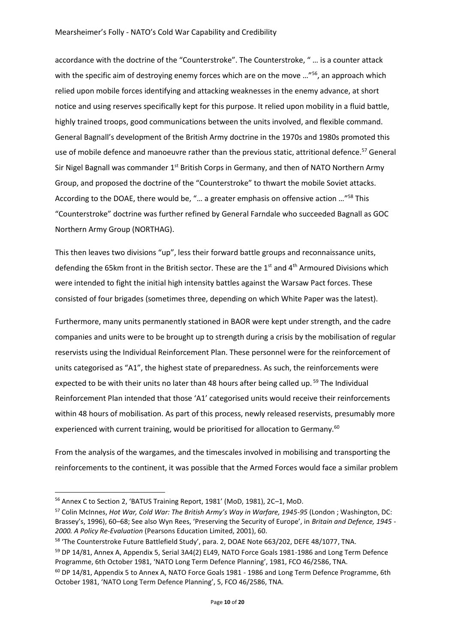accordance with the doctrine of the "Counterstroke". The Counterstroke, " … is a counter attack with the specific aim of destroying enemy forces which are on the move ..."<sup>56</sup>, an approach which relied upon mobile forces identifying and attacking weaknesses in the enemy advance, at short notice and using reserves specifically kept for this purpose. It relied upon mobility in a fluid battle, highly trained troops, good communications between the units involved, and flexible command. General Bagnall's development of the British Army doctrine in the 1970s and 1980s promoted this use of mobile defence and manoeuvre rather than the previous static, attritional defence.<sup>57</sup> General Sir Nigel Bagnall was commander 1<sup>st</sup> British Corps in Germany, and then of NATO Northern Army Group, and proposed the doctrine of the "Counterstroke" to thwart the mobile Soviet attacks. According to the DOAE, there would be, "… a greater emphasis on offensive action …"<sup>58</sup> This "Counterstroke" doctrine was further refined by General Farndale who succeeded Bagnall as GOC Northern Army Group (NORTHAG).

This then leaves two divisions "up", less their forward battle groups and reconnaissance units, defending the 65km front in the British sector. These are the 1<sup>st</sup> and 4<sup>th</sup> Armoured Divisions which were intended to fight the initial high intensity battles against the Warsaw Pact forces. These consisted of four brigades (sometimes three, depending on which White Paper was the latest).

Furthermore, many units permanently stationed in BAOR were kept under strength, and the cadre companies and units were to be brought up to strength during a crisis by the mobilisation of regular reservists using the Individual Reinforcement Plan. These personnel were for the reinforcement of units categorised as "A1", the highest state of preparedness. As such, the reinforcements were expected to be with their units no later than 48 hours after being called up. <sup>59</sup> The Individual Reinforcement Plan intended that those 'A1' categorised units would receive their reinforcements within 48 hours of mobilisation. As part of this process, newly released reservists, presumably more experienced with current training, would be prioritised for allocation to Germany.<sup>60</sup>

From the analysis of the wargames, and the timescales involved in mobilising and transporting the reinforcements to the continent, it was possible that the Armed Forces would face a similar problem

<sup>56</sup> Annex C to Section 2, 'BATUS Training Report, 1981' (MoD, 1981), 2C–1, MoD.

<sup>57</sup> Colin McInnes, *Hot War, Cold War: The British Army's Way in Warfare, 1945-95* (London ; Washington, DC: Brassey's, 1996), 60–68; See also Wyn Rees, 'Preserving the Security of Europe', in *Britain and Defence, 1945 - 2000. A Policy Re-Evaluation* (Pearsons Education Limited, 2001), 60.

<sup>58</sup> 'The Counterstroke Future Battlefield Study', para. 2, DOAE Note 663/202, DEFE 48/1077, TNA.

<sup>&</sup>lt;sup>59</sup> DP 14/81, Annex A, Appendix 5, Serial 3A4(2) EL49, NATO Force Goals 1981-1986 and Long Term Defence Programme, 6th October 1981, 'NATO Long Term Defence Planning', 1981, FCO 46/2586, TNA.

<sup>&</sup>lt;sup>60</sup> DP 14/81, Appendix 5 to Annex A, NATO Force Goals 1981 - 1986 and Long Term Defence Programme, 6th October 1981, 'NATO Long Term Defence Planning', 5, FCO 46/2586, TNA.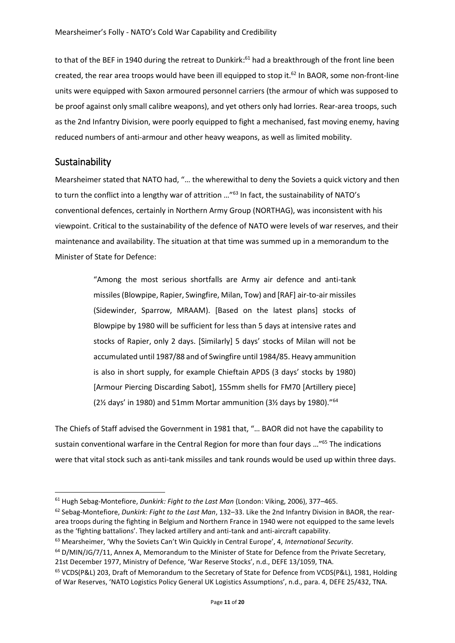to that of the BEF in 1940 during the retreat to Dunkirk:<sup>61</sup> had a breakthrough of the front line been created, the rear area troops would have been ill equipped to stop it.<sup>62</sup> In BAOR, some non-front-line units were equipped with Saxon armoured personnel carriers (the armour of which was supposed to be proof against only small calibre weapons), and yet others only had lorries. Rear-area troops, such as the 2nd Infantry Division, were poorly equipped to fight a mechanised, fast moving enemy, having reduced numbers of anti-armour and other heavy weapons, as well as limited mobility.

#### Sustainability

 $\overline{\phantom{a}}$ 

Mearsheimer stated that NATO had, "… the wherewithal to deny the Soviets a quick victory and then to turn the conflict into a lengthy war of attrition …"<sup>63</sup> In fact, the sustainability of NATO's conventional defences, certainly in Northern Army Group (NORTHAG), was inconsistent with his viewpoint. Critical to the sustainability of the defence of NATO were levels of war reserves, and their maintenance and availability. The situation at that time was summed up in a memorandum to the Minister of State for Defence:

> "Among the most serious shortfalls are Army air defence and anti-tank missiles (Blowpipe, Rapier, Swingfire, Milan, Tow) and [RAF] air-to-air missiles (Sidewinder, Sparrow, MRAAM). [Based on the latest plans] stocks of Blowpipe by 1980 will be sufficient for less than 5 days at intensive rates and stocks of Rapier, only 2 days. [Similarly] 5 days' stocks of Milan will not be accumulated until 1987/88 and of Swingfire until 1984/85. Heavy ammunition is also in short supply, for example Chieftain APDS (3 days' stocks by 1980) [Armour Piercing Discarding Sabot], 155mm shells for FM70 [Artillery piece] (2½ days' in 1980) and 51mm Mortar ammunition (3½ days by 1980)."<sup>64</sup>

The Chiefs of Staff advised the Government in 1981 that, "… BAOR did not have the capability to sustain conventional warfare in the Central Region for more than four days …" <sup>65</sup> The indications were that vital stock such as anti-tank missiles and tank rounds would be used up within three days.

<sup>61</sup> Hugh Sebag-Montefiore, *Dunkirk: Fight to the Last Man* (London: Viking, 2006), 377–465.

<sup>62</sup> Sebag-Montefiore, *Dunkirk: Fight to the Last Man*, 132–33. Like the 2nd Infantry Division in BAOR, the reararea troops during the fighting in Belgium and Northern France in 1940 were not equipped to the same levels as the 'fighting battalions'. They lacked artillery and anti-tank and anti-aircraft capability.

<sup>63</sup> Mearsheimer, 'Why the Soviets Can't Win Quickly in Central Europe', 4, *International Security*.

 $64$  D/MIN/JG/7/11, Annex A, Memorandum to the Minister of State for Defence from the Private Secretary, 21st December 1977, Ministry of Defence, 'War Reserve Stocks', n.d., DEFE 13/1059, TNA.

<sup>65</sup> VCDS(P&L) 203, Draft of Memorandum to the Secretary of State for Defence from VCDS(P&L), 1981, Holding of War Reserves, 'NATO Logistics Policy General UK Logistics Assumptions', n.d., para. 4, DEFE 25/432, TNA.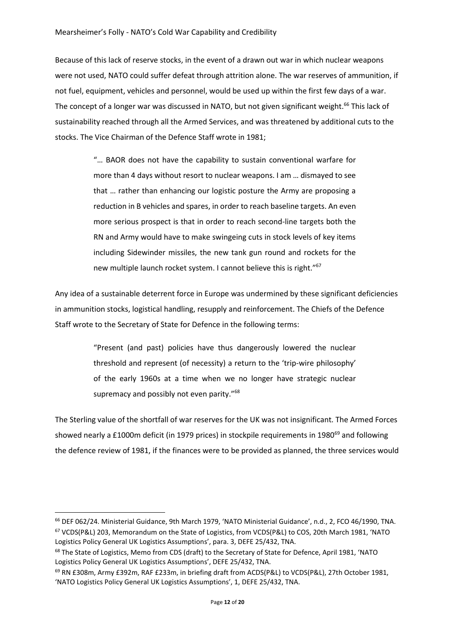Because of this lack of reserve stocks, in the event of a drawn out war in which nuclear weapons were not used, NATO could suffer defeat through attrition alone. The war reserves of ammunition, if not fuel, equipment, vehicles and personnel, would be used up within the first few days of a war. The concept of a longer war was discussed in NATO, but not given significant weight.<sup>66</sup> This lack of sustainability reached through all the Armed Services, and was threatened by additional cuts to the stocks. The Vice Chairman of the Defence Staff wrote in 1981;

> "… BAOR does not have the capability to sustain conventional warfare for more than 4 days without resort to nuclear weapons. I am … dismayed to see that … rather than enhancing our logistic posture the Army are proposing a reduction in B vehicles and spares, in order to reach baseline targets. An even more serious prospect is that in order to reach second-line targets both the RN and Army would have to make swingeing cuts in stock levels of key items including Sidewinder missiles, the new tank gun round and rockets for the new multiple launch rocket system. I cannot believe this is right."<sup>67</sup>

Any idea of a sustainable deterrent force in Europe was undermined by these significant deficiencies in ammunition stocks, logistical handling, resupply and reinforcement. The Chiefs of the Defence Staff wrote to the Secretary of State for Defence in the following terms:

> "Present (and past) policies have thus dangerously lowered the nuclear threshold and represent (of necessity) a return to the 'trip-wire philosophy' of the early 1960s at a time when we no longer have strategic nuclear supremacy and possibly not even parity."<sup>68</sup>

The Sterling value of the shortfall of war reserves for the UK was not insignificant. The Armed Forces showed nearly a £1000m deficit (in 1979 prices) in stockpile requirements in 1980<sup>69</sup> and following the defence review of 1981, if the finances were to be provided as planned, the three services would

<sup>66</sup> DEF 062/24. Ministerial Guidance, 9th March 1979, 'NATO Ministerial Guidance', n.d., 2, FCO 46/1990, TNA. <sup>67</sup> VCDS(P&L) 203, Memorandum on the State of Logistics, from VCDS(P&L) to COS, 20th March 1981, 'NATO Logistics Policy General UK Logistics Assumptions', para. 3, DEFE 25/432, TNA.

<sup>&</sup>lt;sup>68</sup> The State of Logistics, Memo from CDS (draft) to the Secretary of State for Defence, April 1981, 'NATO Logistics Policy General UK Logistics Assumptions', DEFE 25/432, TNA.

<sup>69</sup> RN £308m, Army £392m, RAF £233m, in briefing draft from ACDS(P&L) to VCDS(P&L), 27th October 1981, 'NATO Logistics Policy General UK Logistics Assumptions', 1, DEFE 25/432, TNA.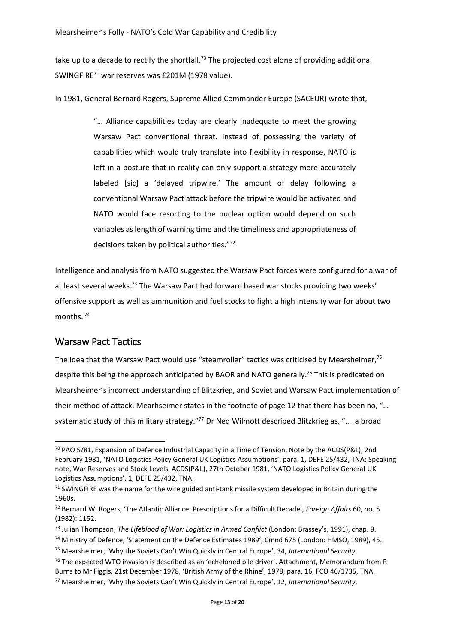take up to a decade to rectify the shortfall.<sup>70</sup> The projected cost alone of providing additional SWINGFIRE<sup>71</sup> war reserves was £201M (1978 value).

In 1981, General Bernard Rogers, Supreme Allied Commander Europe (SACEUR) wrote that,

"… Alliance capabilities today are clearly inadequate to meet the growing Warsaw Pact conventional threat. Instead of possessing the variety of capabilities which would truly translate into flexibility in response, NATO is left in a posture that in reality can only support a strategy more accurately labeled [sic] a 'delayed tripwire.' The amount of delay following a conventional Warsaw Pact attack before the tripwire would be activated and NATO would face resorting to the nuclear option would depend on such variables as length of warning time and the timeliness and appropriateness of decisions taken by political authorities."<sup>72</sup>

Intelligence and analysis from NATO suggested the Warsaw Pact forces were configured for a war of at least several weeks.<sup>73</sup> The Warsaw Pact had forward based war stocks providing two weeks' offensive support as well as ammunition and fuel stocks to fight a high intensity war for about two months. 74

# Warsaw Pact Tactics

**.** 

The idea that the Warsaw Pact would use "steamroller" tactics was criticised by Mearsheimer,<sup>75</sup> despite this being the approach anticipated by BAOR and NATO generally.<sup>76</sup> This is predicated on Mearsheimer's incorrect understanding of Blitzkrieg, and Soviet and Warsaw Pact implementation of their method of attack. Mearhseimer states in the footnote of page 12 that there has been no, "… systematic study of this military strategy."<sup>77</sup> Dr Ned Wilmott described Blitzkrieg as, "... a broad

 $70$  PAO 5/81, Expansion of Defence Industrial Capacity in a Time of Tension, Note by the ACDS(P&L), 2nd February 1981, 'NATO Logistics Policy General UK Logistics Assumptions', para. 1, DEFE 25/432, TNA; Speaking note, War Reserves and Stock Levels, ACDS(P&L), 27th October 1981, 'NATO Logistics Policy General UK Logistics Assumptions', 1, DEFE 25/432, TNA.

 $71$  SWINGFIRE was the name for the wire guided anti-tank missile system developed in Britain during the 1960s.

<sup>72</sup> Bernard W. Rogers, 'The Atlantic Alliance: Prescriptions for a Difficult Decade', *Foreign Affairs* 60, no. 5 (1982): 1152.

<sup>73</sup> Julian Thompson, *The Lifeblood of War: Logistics in Armed Conflict* (London: Brassey's, 1991), chap. 9.

<sup>74</sup> Ministry of Defence, 'Statement on the Defence Estimates 1989', Cmnd 675 (London: HMSO, 1989), 45.

<sup>75</sup> Mearsheimer, 'Why the Soviets Can't Win Quickly in Central Europe', 34, *International Security*.

 $76$  The expected WTO invasion is described as an 'echeloned pile driver'. Attachment, Memorandum from R Burns to Mr Figgis, 21st December 1978, 'British Army of the Rhine', 1978, para. 16, FCO 46/1735, TNA.

<sup>77</sup> Mearsheimer, 'Why the Soviets Can't Win Quickly in Central Europe', 12, *International Security*.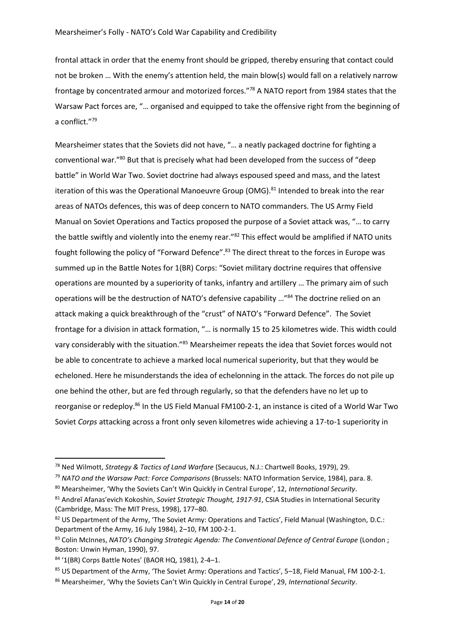frontal attack in order that the enemy front should be gripped, thereby ensuring that contact could not be broken … With the enemy's attention held, the main blow(s) would fall on a relatively narrow frontage by concentrated armour and motorized forces."<sup>78</sup> A NATO report from 1984 states that the Warsaw Pact forces are, "… organised and equipped to take the offensive right from the beginning of a conflict."<sup>79</sup>

Mearsheimer states that the Soviets did not have, "… a neatly packaged doctrine for fighting a conventional war."<sup>80</sup> But that is precisely what had been developed from the success of "deep battle" in World War Two. Soviet doctrine had always espoused speed and mass, and the latest iteration of this was the Operational Manoeuvre Group (OMG).<sup>81</sup> Intended to break into the rear areas of NATOs defences, this was of deep concern to NATO commanders. The US Army Field Manual on Soviet Operations and Tactics proposed the purpose of a Soviet attack was, "… to carry the battle swiftly and violently into the enemy rear."<sup>82</sup> This effect would be amplified if NATO units fought following the policy of "Forward Defence".<sup>83</sup> The direct threat to the forces in Europe was summed up in the Battle Notes for 1(BR) Corps: "Soviet military doctrine requires that offensive operations are mounted by a superiority of tanks, infantry and artillery … The primary aim of such operations will be the destruction of NATO's defensive capability …"<sup>84</sup> The doctrine relied on an attack making a quick breakthrough of the "crust" of NATO's "Forward Defence". The Soviet frontage for a division in attack formation, "… is normally 15 to 25 kilometres wide. This width could vary considerably with the situation."<sup>85</sup> Mearsheimer repeats the idea that Soviet forces would not be able to concentrate to achieve a marked local numerical superiority, but that they would be echeloned. Here he misunderstands the idea of echelonning in the attack. The forces do not pile up one behind the other, but are fed through regularly, so that the defenders have no let up to reorganise or redeploy.<sup>86</sup> In the US Field Manual FM100-2-1, an instance is cited of a World War Two Soviet *Corps* attacking across a front only seven kilometres wide achieving a 17-to-1 superiority in

1

<sup>78</sup> Ned Wilmott, *Strategy & Tactics of Land Warfare* (Secaucus, N.J.: Chartwell Books, 1979), 29.

<sup>79</sup> *NATO and the Warsaw Pact: Force Comparisons* (Brussels: NATO Information Service, 1984), para. 8.

<sup>80</sup> Mearsheimer, 'Why the Soviets Can't Win Quickly in Central Europe', 12, *International Security*.

<sup>81</sup> Andreĭ Afanasʹevich Kokoshin, *Soviet Strategic Thought, 1917-91*, CSIA Studies in International Security (Cambridge, Mass: The MIT Press, 1998), 177–80.

<sup>82</sup> US Department of the Army, 'The Soviet Army: Operations and Tactics', Field Manual (Washington, D.C.: Department of the Army, 16 July 1984), 2–10, FM 100-2-1.

<sup>83</sup> Colin McInnes, *NATO's Changing Strategic Agenda: The Conventional Defence of Central Europe* (London ; Boston: Unwin Hyman, 1990), 97.

<sup>84</sup> '1(BR) Corps Battle Notes' (BAOR HQ, 1981), 2-4–1.

<sup>85</sup> US Department of the Army, 'The Soviet Army: Operations and Tactics', 5-18, Field Manual, FM 100-2-1.

<sup>86</sup> Mearsheimer, 'Why the Soviets Can't Win Quickly in Central Europe', 29, *International Security*.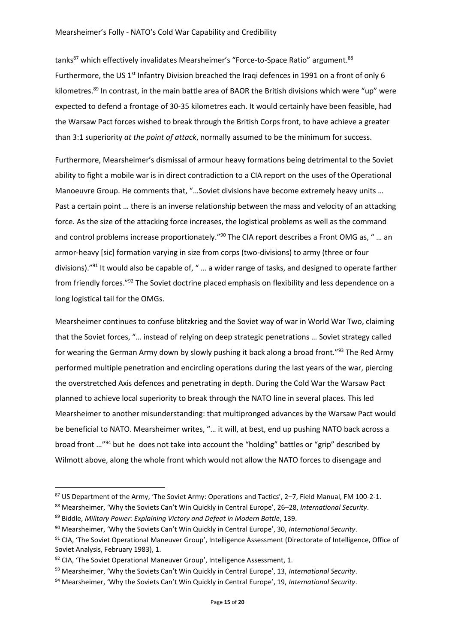tanks<sup>87</sup> which effectively invalidates Mearsheimer's "Force-to-Space Ratio" argument.<sup>88</sup> Furthermore, the US 1<sup>st</sup> Infantry Division breached the Iraqi defences in 1991 on a front of only 6 kilometres.<sup>89</sup> In contrast, in the main battle area of BAOR the British divisions which were "up" were expected to defend a frontage of 30-35 kilometres each. It would certainly have been feasible, had the Warsaw Pact forces wished to break through the British Corps front, to have achieve a greater than 3:1 superiority *at the point of attack*, normally assumed to be the minimum for success.

Furthermore, Mearsheimer's dismissal of armour heavy formations being detrimental to the Soviet ability to fight a mobile war is in direct contradiction to a CIA report on the uses of the Operational Manoeuvre Group. He comments that, "…Soviet divisions have become extremely heavy units … Past a certain point … there is an inverse relationship between the mass and velocity of an attacking force. As the size of the attacking force increases, the logistical problems as well as the command and control problems increase proportionately."<sup>90</sup> The CIA report describes a Front OMG as, " ... an armor-heavy [sic] formation varying in size from corps (two-divisions) to army (three or four divisions)."<sup>91</sup> It would also be capable of, " … a wider range of tasks, and designed to operate farther from friendly forces."<sup>92</sup> The Soviet doctrine placed emphasis on flexibility and less dependence on a long logistical tail for the OMGs.

Mearsheimer continues to confuse blitzkrieg and the Soviet way of war in World War Two, claiming that the Soviet forces, "… instead of relying on deep strategic penetrations … Soviet strategy called for wearing the German Army down by slowly pushing it back along a broad front."<sup>93</sup> The Red Army performed multiple penetration and encircling operations during the last years of the war, piercing the overstretched Axis defences and penetrating in depth. During the Cold War the Warsaw Pact planned to achieve local superiority to break through the NATO line in several places. This led Mearsheimer to another misunderstanding: that multipronged advances by the Warsaw Pact would be beneficial to NATO. Mearsheimer writes, "… it will, at best, end up pushing NATO back across a broad front …"<sup>94</sup> but he does not take into account the "holding" battles or "grip" described by Wilmott above, along the whole front which would not allow the NATO forces to disengage and

<sup>87</sup> US Department of the Army, 'The Soviet Army: Operations and Tactics', 2-7, Field Manual, FM 100-2-1.

<sup>88</sup> Mearsheimer, 'Why the Soviets Can't Win Quickly in Central Europe', 26–28, *International Security*.

<sup>89</sup> Biddle, *Military Power: Explaining Victory and Defeat in Modern Battle*, 139.

<sup>90</sup> Mearsheimer, 'Why the Soviets Can't Win Quickly in Central Europe', 30, *International Security*.

<sup>91</sup> CIA, 'The Soviet Operational Maneuver Group', Intelligence Assessment (Directorate of Intelligence, Office of Soviet Analysis, February 1983), 1.

<sup>92</sup> CIA, 'The Soviet Operational Maneuver Group', Intelligence Assessment, 1.

<sup>93</sup> Mearsheimer, 'Why the Soviets Can't Win Quickly in Central Europe', 13, *International Security*.

<sup>94</sup> Mearsheimer, 'Why the Soviets Can't Win Quickly in Central Europe', 19, *International Security*.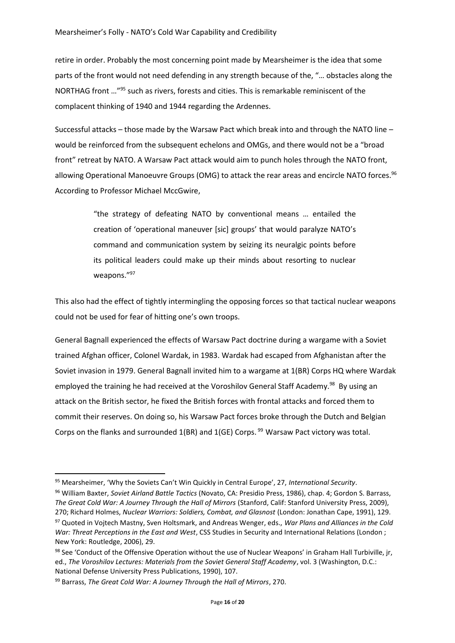retire in order. Probably the most concerning point made by Mearsheimer is the idea that some parts of the front would not need defending in any strength because of the, "… obstacles along the NORTHAG front …"<sup>95</sup> such as rivers, forests and cities. This is remarkable reminiscent of the complacent thinking of 1940 and 1944 regarding the Ardennes.

Successful attacks – those made by the Warsaw Pact which break into and through the NATO line – would be reinforced from the subsequent echelons and OMGs, and there would not be a "broad front" retreat by NATO. A Warsaw Pact attack would aim to punch holes through the NATO front, allowing Operational Manoeuvre Groups (OMG) to attack the rear areas and encircle NATO forces.<sup>96</sup> According to Professor Michael MccGwire,

> "the strategy of defeating NATO by conventional means … entailed the creation of 'operational maneuver [sic] groups' that would paralyze NATO's command and communication system by seizing its neuralgic points before its political leaders could make up their minds about resorting to nuclear weapons."<sup>97</sup>

This also had the effect of tightly intermingling the opposing forces so that tactical nuclear weapons could not be used for fear of hitting one's own troops.

General Bagnall experienced the effects of Warsaw Pact doctrine during a wargame with a Soviet trained Afghan officer, Colonel Wardak, in 1983. Wardak had escaped from Afghanistan after the Soviet invasion in 1979. General Bagnall invited him to a wargame at 1(BR) Corps HQ where Wardak employed the training he had received at the Voroshilov General Staff Academy.<sup>98</sup> By using an attack on the British sector, he fixed the British forces with frontal attacks and forced them to commit their reserves. On doing so, his Warsaw Pact forces broke through the Dutch and Belgian Corps on the flanks and surrounded  $1(BR)$  and  $1(GE)$  Corps. <sup>99</sup> Warsaw Pact victory was total.

 $\overline{\phantom{a}}$ <sup>95</sup> Mearsheimer, 'Why the Soviets Can't Win Quickly in Central Europe', 27, *International Security*.

<sup>96</sup> William Baxter, *Soviet Airland Battle Tactics* (Novato, CA: Presidio Press, 1986), chap. 4; Gordon S. Barrass, *The Great Cold War: A Journey Through the Hall of Mirrors* (Stanford, Calif: Stanford University Press, 2009), 270; Richard Holmes, *Nuclear Warriors: Soldiers, Combat, and Glasnost* (London: Jonathan Cape, 1991), 129.

<sup>97</sup> Quoted in Vojtech Mastny, Sven Holtsmark, and Andreas Wenger, eds., *War Plans and Alliances in the Cold War: Threat Perceptions in the East and West*, CSS Studies in Security and International Relations (London ; New York: Routledge, 2006), 29.

<sup>98</sup> See 'Conduct of the Offensive Operation without the use of Nuclear Weapons' in Graham Hall Turbiville, ir, ed., *The Voroshilov Lectures: Materials from the Soviet General Staff Academy*, vol. 3 (Washington, D.C.: National Defense University Press Publications, 1990), 107.

<sup>99</sup> Barrass, *The Great Cold War: A Journey Through the Hall of Mirrors*, 270.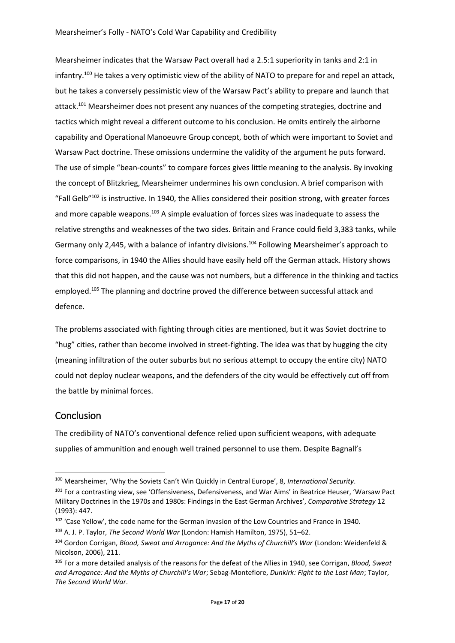Mearsheimer indicates that the Warsaw Pact overall had a 2.5:1 superiority in tanks and 2:1 in infantry.<sup>100</sup> He takes a very optimistic view of the ability of NATO to prepare for and repel an attack, but he takes a conversely pessimistic view of the Warsaw Pact's ability to prepare and launch that attack.<sup>101</sup> Mearsheimer does not present any nuances of the competing strategies, doctrine and tactics which might reveal a different outcome to his conclusion. He omits entirely the airborne capability and Operational Manoeuvre Group concept, both of which were important to Soviet and Warsaw Pact doctrine. These omissions undermine the validity of the argument he puts forward. The use of simple "bean-counts" to compare forces gives little meaning to the analysis. By invoking the concept of Blitzkrieg, Mearsheimer undermines his own conclusion. A brief comparison with "Fall Gelb"<sup>102</sup> is instructive. In 1940, the Allies considered their position strong, with greater forces and more capable weapons.<sup>103</sup> A simple evaluation of forces sizes was inadequate to assess the relative strengths and weaknesses of the two sides. Britain and France could field 3,383 tanks, while Germany only 2,445, with a balance of infantry divisions.<sup>104</sup> Following Mearsheimer's approach to force comparisons, in 1940 the Allies should have easily held off the German attack. History shows that this did not happen, and the cause was not numbers, but a difference in the thinking and tactics employed.<sup>105</sup> The planning and doctrine proved the difference between successful attack and defence.

The problems associated with fighting through cities are mentioned, but it was Soviet doctrine to "hug" cities, rather than become involved in street-fighting. The idea was that by hugging the city (meaning infiltration of the outer suburbs but no serious attempt to occupy the entire city) NATO could not deploy nuclear weapons, and the defenders of the city would be effectively cut off from the battle by minimal forces.

#### Conclusion

**.** 

The credibility of NATO's conventional defence relied upon sufficient weapons, with adequate supplies of ammunition and enough well trained personnel to use them. Despite Bagnall's

<sup>100</sup> Mearsheimer, 'Why the Soviets Can't Win Quickly in Central Europe', 8, *International Security*.

<sup>101</sup> For a contrasting view, see 'Offensiveness, Defensiveness, and War Aims' in Beatrice Heuser, 'Warsaw Pact Military Doctrines in the 1970s and 1980s: Findings in the East German Archives', *Comparative Strategy* 12 (1993): 447.

<sup>&</sup>lt;sup>102</sup> 'Case Yellow', the code name for the German invasion of the Low Countries and France in 1940.

<sup>103</sup> A. J. P. Taylor, *The Second World War* (London: Hamish Hamilton, 1975), 51–62.

<sup>104</sup> Gordon Corrigan, *Blood, Sweat and Arrogance: And the Myths of Churchill's War* (London: Weidenfeld & Nicolson, 2006), 211.

<sup>105</sup> For a more detailed analysis of the reasons for the defeat of the Allies in 1940, see Corrigan, *Blood, Sweat and Arrogance: And the Myths of Churchill's War*; Sebag-Montefiore, *Dunkirk: Fight to the Last Man*; Taylor, *The Second World War*.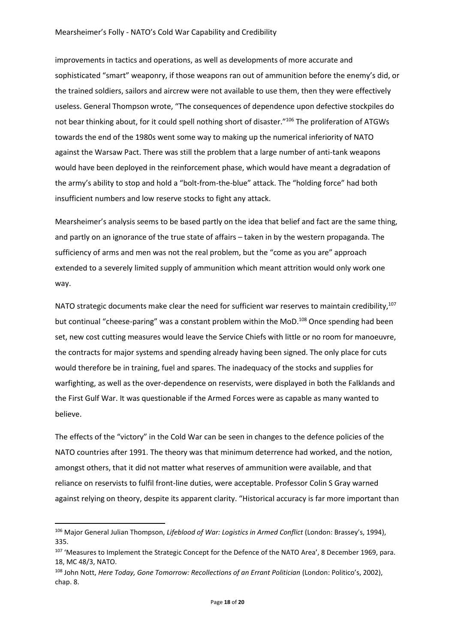improvements in tactics and operations, as well as developments of more accurate and sophisticated "smart" weaponry, if those weapons ran out of ammunition before the enemy's did, or the trained soldiers, sailors and aircrew were not available to use them, then they were effectively useless. General Thompson wrote, "The consequences of dependence upon defective stockpiles do not bear thinking about, for it could spell nothing short of disaster."<sup>106</sup> The proliferation of ATGWs towards the end of the 1980s went some way to making up the numerical inferiority of NATO against the Warsaw Pact. There was still the problem that a large number of anti-tank weapons would have been deployed in the reinforcement phase, which would have meant a degradation of the army's ability to stop and hold a "bolt-from-the-blue" attack. The "holding force" had both insufficient numbers and low reserve stocks to fight any attack.

Mearsheimer's analysis seems to be based partly on the idea that belief and fact are the same thing, and partly on an ignorance of the true state of affairs – taken in by the western propaganda. The sufficiency of arms and men was not the real problem, but the "come as you are" approach extended to a severely limited supply of ammunition which meant attrition would only work one way.

NATO strategic documents make clear the need for sufficient war reserves to maintain credibility.<sup>107</sup> but continual "cheese-paring" was a constant problem within the MoD.<sup>108</sup> Once spending had been set, new cost cutting measures would leave the Service Chiefs with little or no room for manoeuvre, the contracts for major systems and spending already having been signed. The only place for cuts would therefore be in training, fuel and spares. The inadequacy of the stocks and supplies for warfighting, as well as the over-dependence on reservists, were displayed in both the Falklands and the First Gulf War. It was questionable if the Armed Forces were as capable as many wanted to believe.

The effects of the "victory" in the Cold War can be seen in changes to the defence policies of the NATO countries after 1991. The theory was that minimum deterrence had worked, and the notion, amongst others, that it did not matter what reserves of ammunition were available, and that reliance on reservists to fulfil front-line duties, were acceptable. Professor Colin S Gray warned against relying on theory, despite its apparent clarity. "Historical accuracy is far more important than

<sup>106</sup> Major General Julian Thompson, *Lifeblood of War: Logistics in Armed Conflict* (London: Brassey's, 1994), 335.

<sup>107 &#</sup>x27;Measures to Implement the Strategic Concept for the Defence of the NATO Area', 8 December 1969, para. 18, MC 48/3, NATO.

<sup>108</sup> John Nott, *Here Today, Gone Tomorrow: Recollections of an Errant Politician* (London: Politico's, 2002), chap. 8.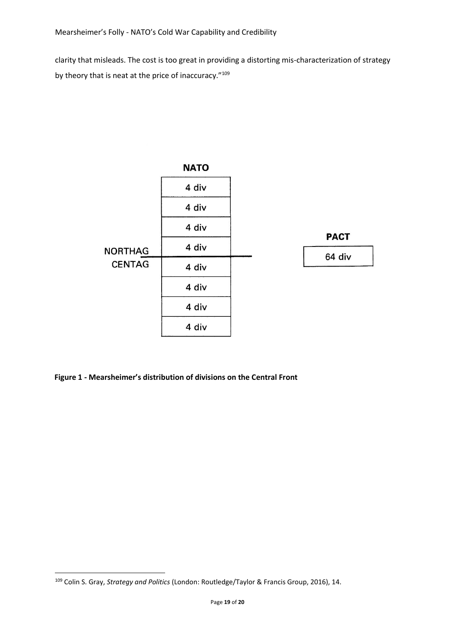clarity that misleads. The cost is too great in providing a distorting mis-characterization of strategy by theory that is neat at the price of inaccuracy."<sup>109</sup>



**Figure 1 - Mearsheimer's distribution of divisions on the Central Front**

<sup>109</sup> Colin S. Gray, *Strategy and Politics* (London: Routledge/Taylor & Francis Group, 2016), 14.